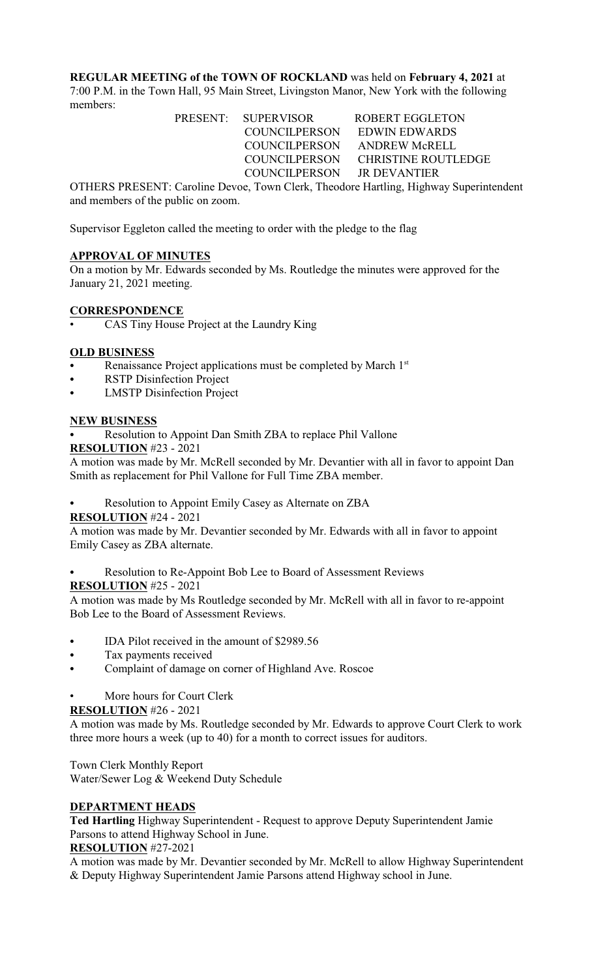**REGULAR MEETING of the TOWN OF ROCKLAND** was held on **February 4, 2021** at 7:00 P.M. in the Town Hall, 95 Main Street, Livingston Manor, New York with the following members:

> PRESENT: SUPERVISOR ROBERT EGGLETON COUNCILPERSON EDWIN EDWARDS COUNCILPERSON ANDREW McRELL COUNCILPERSON CHRISTINE ROUTLEDGE COUNCILPERSON JR DEVANTIER

OTHERS PRESENT: Caroline Devoe, Town Clerk, Theodore Hartling, Highway Superintendent and members of the public on zoom.

Supervisor Eggleton called the meeting to order with the pledge to the flag

## **APPROVAL OF MINUTES**

On a motion by Mr. Edwards seconded by Ms. Routledge the minutes were approved for the January 21, 2021 meeting.

#### **CORRESPONDENCE**

• CAS Tiny House Project at the Laundry King

## **OLD BUSINESS**

- Renaissance Project applications must be completed by March 1<sup>st</sup>
- RSTP Disinfection Project
- LMSTP Disinfection Project

## **NEW BUSINESS**

Resolution to Appoint Dan Smith ZBA to replace Phil Vallone

#### **RESOLUTION** #23 - 2021

A motion was made by Mr. McRell seconded by Mr. Devantier with all in favor to appoint Dan Smith as replacement for Phil Vallone for Full Time ZBA member.

Resolution to Appoint Emily Casey as Alternate on ZBA

#### **RESOLUTION** #24 - 2021

A motion was made by Mr. Devantier seconded by Mr. Edwards with all in favor to appoint Emily Casey as ZBA alternate.

Resolution to Re-Appoint Bob Lee to Board of Assessment Reviews

#### **RESOLUTION** #25 - 2021

A motion was made by Ms Routledge seconded by Mr. McRell with all in favor to re-appoint Bob Lee to the Board of Assessment Reviews.

- C IDA Pilot received in the amount of \$2989.56
- Tax payments received
- Complaint of damage on corner of Highland Ave. Roscoe
- More hours for Court Clerk

#### **RESOLUTION** #26 - 2021

A motion was made by Ms. Routledge seconded by Mr. Edwards to approve Court Clerk to work three more hours a week (up to 40) for a month to correct issues for auditors.

Town Clerk Monthly Report Water/Sewer Log & Weekend Duty Schedule

## **DEPARTMENT HEADS**

**Ted Hartling** Highway Superintendent - Request to approve Deputy Superintendent Jamie Parsons to attend Highway School in June.

#### **RESOLUTION** #27-2021

A motion was made by Mr. Devantier seconded by Mr. McRell to allow Highway Superintendent & Deputy Highway Superintendent Jamie Parsons attend Highway school in June.